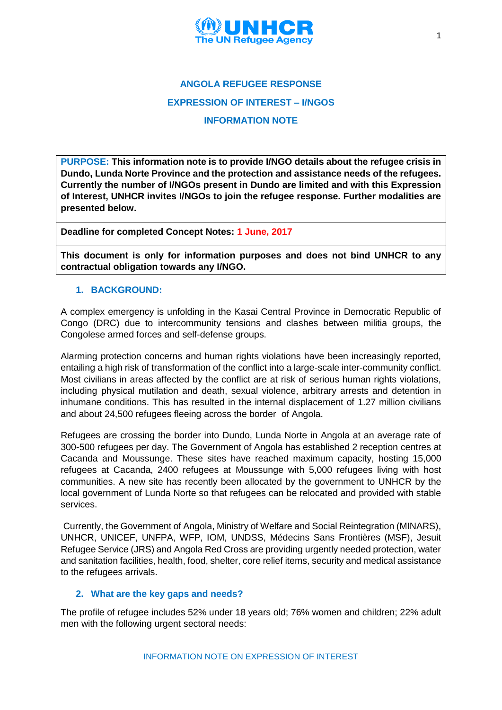

**PURPOSE: This information note is to provide I/NGO details about the refugee crisis in Dundo, Lunda Norte Province and the protection and assistance needs of the refugees. Currently the number of I/NGOs present in Dundo are limited and with this Expression of Interest, UNHCR invites I/NGOs to join the refugee response. Further modalities are presented below.**

**Deadline for completed Concept Notes: 1 June, 2017**

**This document is only for information purposes and does not bind UNHCR to any contractual obligation towards any I/NGO.**

# **1. BACKGROUND:**

A complex emergency is unfolding in the Kasai Central Province in Democratic Republic of Congo (DRC) due to intercommunity tensions and clashes between militia groups, the Congolese armed forces and self-defense groups.

Alarming protection concerns and human rights violations have been increasingly reported, entailing a high risk of transformation of the conflict into a large-scale inter-community conflict. Most civilians in areas affected by the conflict are at risk of serious human rights violations, including physical mutilation and death, sexual violence, arbitrary arrests and detention in inhumane conditions. This has resulted in the internal displacement of 1.27 million civilians and about 24,500 refugees fleeing across the border of Angola.

Refugees are crossing the border into Dundo, Lunda Norte in Angola at an average rate of 300-500 refugees per day. The Government of Angola has established 2 reception centres at Cacanda and Moussunge. These sites have reached maximum capacity, hosting 15,000 refugees at Cacanda, 2400 refugees at Moussunge with 5,000 refugees living with host communities. A new site has recently been allocated by the government to UNHCR by the local government of Lunda Norte so that refugees can be relocated and provided with stable services.

Currently, the Government of Angola, Ministry of Welfare and Social Reintegration (MINARS), UNHCR, UNICEF, UNFPA, WFP, IOM, UNDSS, Médecins Sans Frontières (MSF), Jesuit Refugee Service (JRS) and Angola Red Cross are providing urgently needed protection, water and sanitation facilities, health, food, shelter, core relief items, security and medical assistance to the refugees arrivals.

## **2. What are the key gaps and needs?**

The profile of refugee includes 52% under 18 years old; 76% women and children; 22% adult men with the following urgent sectoral needs: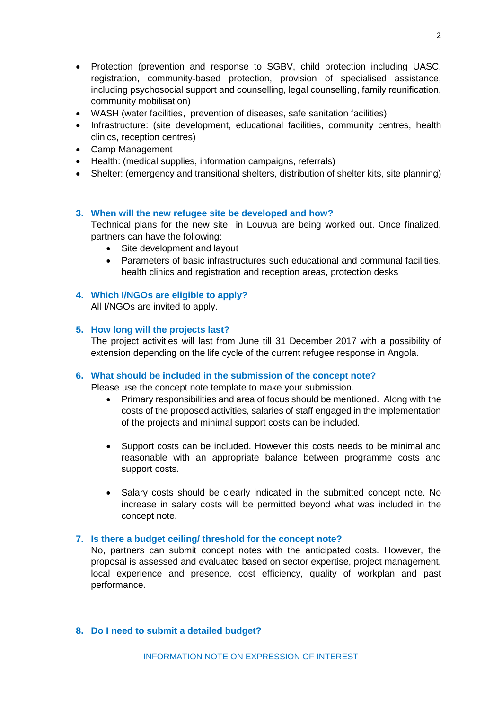- Protection (prevention and response to SGBV, child protection including UASC, registration, community-based protection, provision of specialised assistance, including psychosocial support and counselling, legal counselling, family reunification, community mobilisation)
- WASH (water facilities, prevention of diseases, safe sanitation facilities)
- Infrastructure: (site development, educational facilities, community centres, health clinics, reception centres)
- Camp Management
- Health: (medical supplies, information campaigns, referrals)
- Shelter: (emergency and transitional shelters, distribution of shelter kits, site planning)

### **3. When will the new refugee site be developed and how?**

Technical plans for the new site in Louvua are being worked out. Once finalized, partners can have the following:

- Site development and layout
- Parameters of basic infrastructures such educational and communal facilities, health clinics and registration and reception areas, protection desks

# **4. Which I/NGOs are eligible to apply?**

All I/NGOs are invited to apply.

### **5. How long will the projects last?**

The project activities will last from June till 31 December 2017 with a possibility of extension depending on the life cycle of the current refugee response in Angola.

#### **6. What should be included in the submission of the concept note?**

Please use the concept note template to make your submission.

- Primary responsibilities and area of focus should be mentioned. Along with the costs of the proposed activities, salaries of staff engaged in the implementation of the projects and minimal support costs can be included.
- Support costs can be included. However this costs needs to be minimal and reasonable with an appropriate balance between programme costs and support costs.
- Salary costs should be clearly indicated in the submitted concept note. No increase in salary costs will be permitted beyond what was included in the concept note.

#### **7. Is there a budget ceiling/ threshold for the concept note?**

No, partners can submit concept notes with the anticipated costs. However, the proposal is assessed and evaluated based on sector expertise, project management, local experience and presence, cost efficiency, quality of workplan and past performance.

## **8. Do I need to submit a detailed budget?**